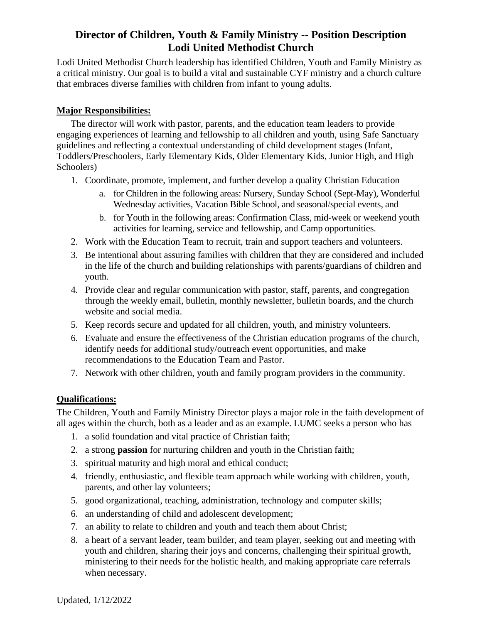# **Director of Children, Youth & Family Ministry -- Position Description Lodi United Methodist Church**

Lodi United Methodist Church leadership has identified Children, Youth and Family Ministry as a critical ministry. Our goal is to build a vital and sustainable CYF ministry and a church culture that embraces diverse families with children from infant to young adults.

### **Major Responsibilities:**

The director will work with pastor, parents, and the education team leaders to provide engaging experiences of learning and fellowship to all children and youth, using Safe Sanctuary guidelines and reflecting a contextual understanding of child development stages (Infant, Toddlers/Preschoolers, Early Elementary Kids, Older Elementary Kids, Junior High, and High Schoolers)

- 1. Coordinate, promote, implement, and further develop a quality Christian Education
	- a. for Children in the following areas: Nursery, Sunday School (Sept-May), Wonderful Wednesday activities, Vacation Bible School, and seasonal/special events, and
	- b. for Youth in the following areas: Confirmation Class, mid-week or weekend youth activities for learning, service and fellowship, and Camp opportunities.
- 2. Work with the Education Team to recruit, train and support teachers and volunteers.
- 3. Be intentional about assuring families with children that they are considered and included in the life of the church and building relationships with parents/guardians of children and youth.
- 4. Provide clear and regular communication with pastor, staff, parents, and congregation through the weekly email, bulletin, monthly newsletter, bulletin boards, and the church website and social media.
- 5. Keep records secure and updated for all children, youth, and ministry volunteers.
- 6. Evaluate and ensure the effectiveness of the Christian education programs of the church, identify needs for additional study/outreach event opportunities, and make recommendations to the Education Team and Pastor.
- 7. Network with other children, youth and family program providers in the community.

### **Qualifications:**

The Children, Youth and Family Ministry Director plays a major role in the faith development of all ages within the church, both as a leader and as an example. LUMC seeks a person who has

- 1. a solid foundation and vital practice of Christian faith;
- 2. a strong **passion** for nurturing children and youth in the Christian faith;
- 3. spiritual maturity and high moral and ethical conduct;
- 4. friendly, enthusiastic, and flexible team approach while working with children, youth, parents, and other lay volunteers;
- 5. good organizational, teaching, administration, technology and computer skills;
- 6. an understanding of child and adolescent development;
- 7. an ability to relate to children and youth and teach them about Christ;
- 8. a heart of a servant leader, team builder, and team player, seeking out and meeting with youth and children, sharing their joys and concerns, challenging their spiritual growth, ministering to their needs for the holistic health, and making appropriate care referrals when necessary.